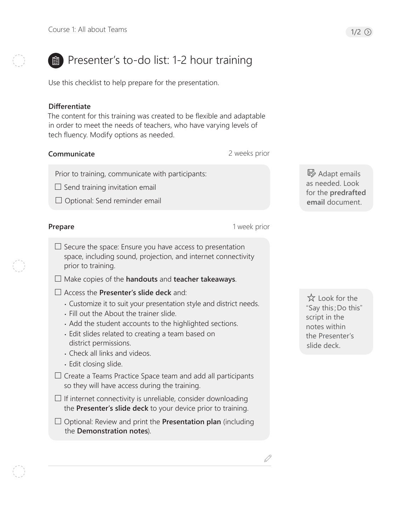# **B** Presenter's to-do list: 1-2 hour training

Use this checklist to help prepare for the presentation.

#### **Differentiate**

The content for this training was created to be flexible and adaptable in order to meet the needs of teachers, who have varying levels of tech fluency. Modify options as needed.

### **Communicate**

2 weeks prior

1 week prior

D

Prior to training, communicate with participants:

 $\Box$  Send training invitation email

 $\Box$  Optional: Send reminder email

#### **Prepare**

- 
- $\square$  Secure the space: Ensure you have access to presentation space, including sound, projection, and internet connectivity prior to training.
- Make copies of the **handouts** and **teacher takeaways**.
- Access the **Presenter's slide deck** and:
	- Customize it to suit your presentation style and district needs.
	- Fill out the About the trainer slide.
	- Add the student accounts to the highlighted sections.
	- Edit slides related to creating a team based on district permissions.
	- Check all links and videos.
	- Edit closing slide.
- $\Box$  Create a Teams Practice Space team and add all participants so they will have access during the training.
- $\Box$  If internet connectivity is unreliable, consider downloading the **Presenter's slide deck** to your device prior to training.
- Optional: Review and print the **Presentation plan** (including the **Demonstration notes**).

B Adapt emails as needed. Look for the **predrafted email** document.

 Look for the "Say this;Do this" script in the notes within the Presenter's slide deck.